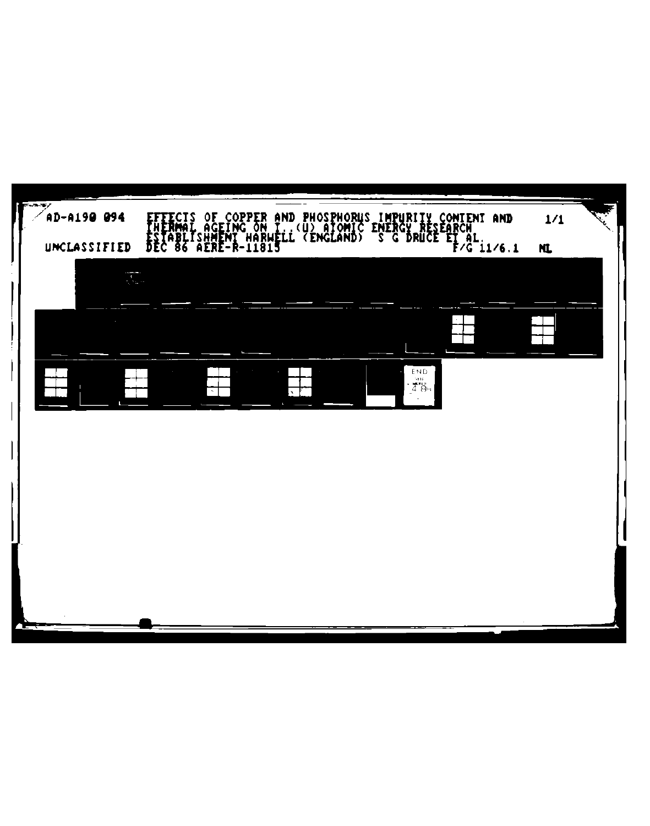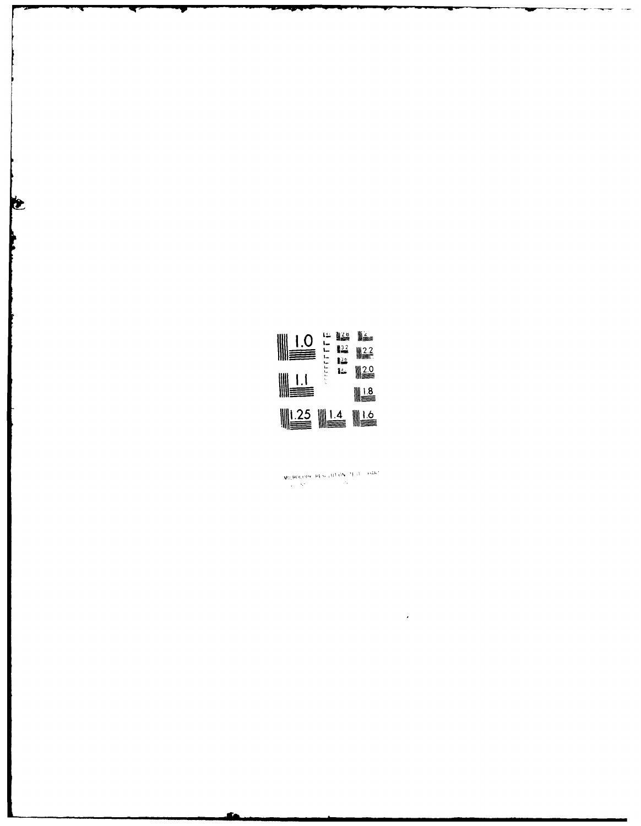

Ċ

 $\mathsf{MEROL}(\mathsf{PP} \cup \mathsf{PE} \text{-}\mathsf{SCLU} \cup \mathsf{Ob} \cup \mathsf{TP} \cup \mathsf{C} \cup \mathsf{P} \mathsf{Ob} \mathsf{C})$ 

 $\bar{\epsilon}$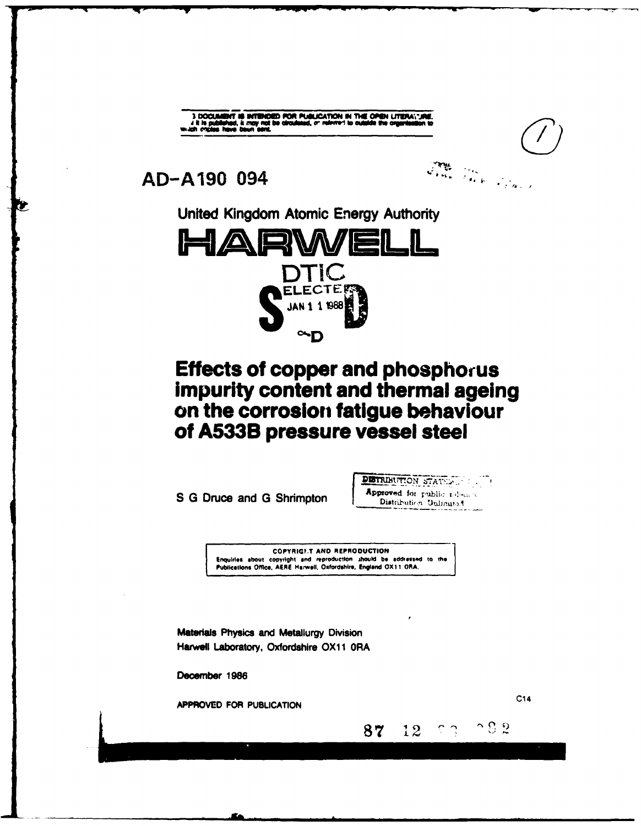3 DOCUMENT IS INTENDED FOR PUBLICATION IN THE OPEN LITERAL UNE.<br>4 it is published, it may not be directed, or referred to outside the organization to<br>ch criptes have been sent.

John Park Black

AD-A190 094





# **Effects of copper and phosphorus** impurity content and thermal ageing on the corrosion fatigue behaviour of A533B pressure vessel steel

S G Druce and G Shrimpton

**DETRIBUTION STATES .....** Approved for public roleans Distribution Unlimited

 $\gamma$   $\gamma$ 

 $12$ 

87

**COPYRIGHT AND REPRODUCTION** Enquiries shout copyright and reproduction should be addressed to the Publications Office, AERE Harwell, Oxfordshire, England OX11 ORA.

Materials Physics and Metallurgy Division Harwell Laboratory, Oxfordshire OX11 0RA

December 1986

APPROVED FOR PUBLICATION

 $C14$ 

ာ ဌာ ရွ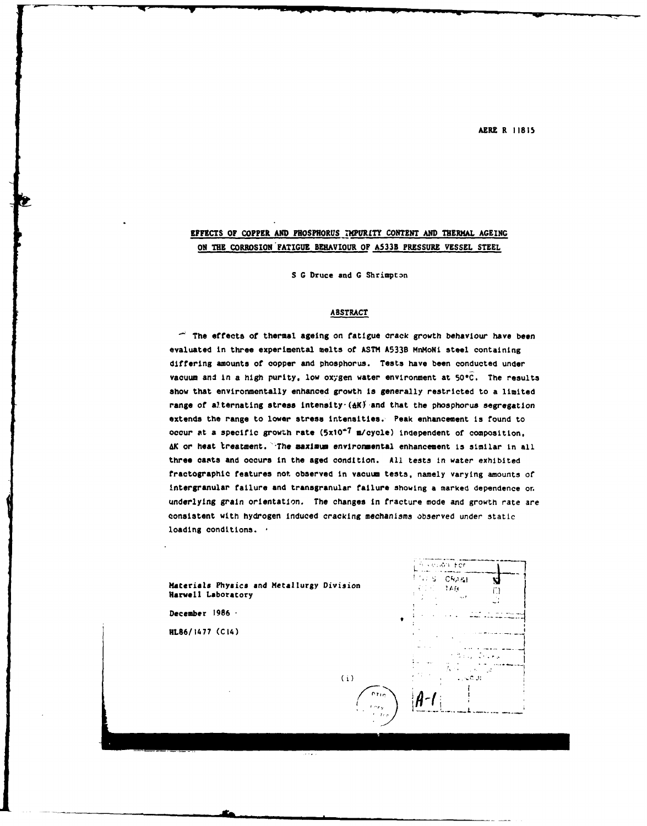AERE **R 11815**

# **EFFECTS OF** COPPER **AND PHOSPHORUS** MPURLTY **CONTENT AND** THERMAL **AGEING ON THE** CORROSION **FATIGUE** BEHAVIOUR OF **A533B PRESSURE VESSEL STEEL**

**S G** Druce and **G** Shrimptan

# **ABSTRACT**

 $-$  The effects of thermal ageing on fatigue crack growth behaviour have been evaluated in three experimental melts of **ASTI A533B** MnMoNi steel containing differing amounts of copper and phosphorus. Tests have been conducted under vacuum and In **a high** purity, low oxygen water environment at **500C.** The results show that environmentally enhanced growth is generally restricted to a limited range of alternating stress intensity- $(4K)^2$  and that the phosphorus segregation extends the range to lower stress intensities. Peak enhancement is found to Occur at a specific growth rate **(5x10"7** a/cycle) independent **of** composition, 4K or heat treatment. '-The maximum environmental enhancement Is similar in all three casts and occurs in the aged condition. **All** tests in water exhibited fractographic features not observed in vacuum tests, namely varying amounts of Intergranular failure and tranegranular failure showing a marked dependence **on** underlying grain orientation. The changes in fracture mode and growth rate are consistent with hydrogen induced cracking mechanisms observed under static loading conditions.

**Materials Physics and Metallurgy Division** <sup>F</sup> **Harwell Laboratory**

**December 1986**

**HL86/1477 (CI4)**



 $(i)$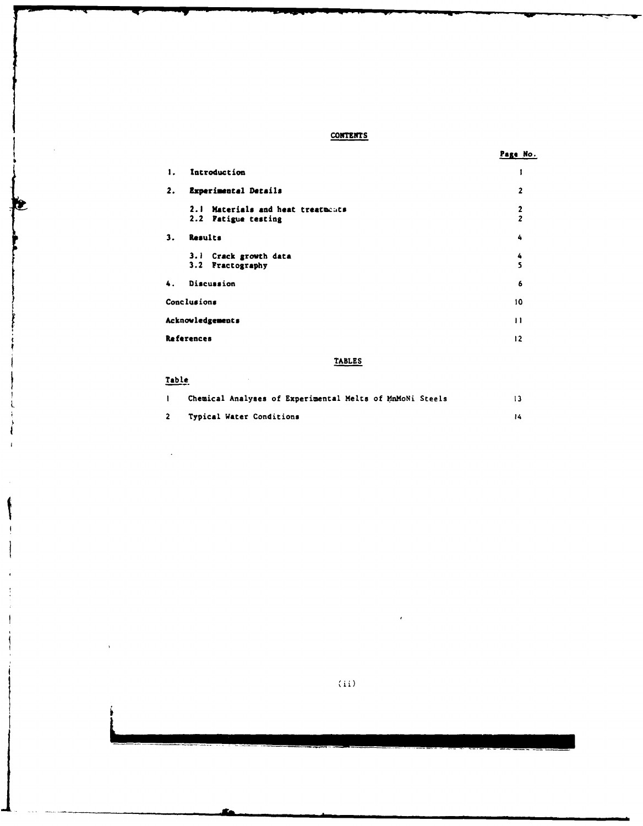# **CONTEXTS**

|  | к<br>$\sim$ |
|--|-------------|
|--|-------------|

| 1. | Introduction                                                |                                |  |
|----|-------------------------------------------------------------|--------------------------------|--|
| 2. | Experimental Details                                        | $\overline{2}$                 |  |
|    | Materials and heat treatments<br>2.1<br>2.2 Patigue testing | $\mathbf{2}$<br>$\overline{z}$ |  |
| 3. | Results                                                     | 4                              |  |
|    | 3.1 Crack growth data<br>3.2 Fractography                   | 4<br>5                         |  |
| 4. | Discussion                                                  | 6                              |  |
|    | Conclusions                                                 | 10                             |  |
|    | Acknowledgements<br>$\bf{11}$                               |                                |  |
|    | References<br>12                                            |                                |  |

**TABLES**

# Table

 $\mathcal{L}$ 

ł  $\overline{1}$ 

 $\overline{1}$ 

 $\overline{\phantom{a}}$ 

 $\ddot{\cdot}$ J.  $\mathbf i$ 

|              | Chemical Analyses of Experimental Melts of MnMoNi Steels |     |
|--------------|----------------------------------------------------------|-----|
| $\mathbf{2}$ | Typical Water Conditions                                 | 14. |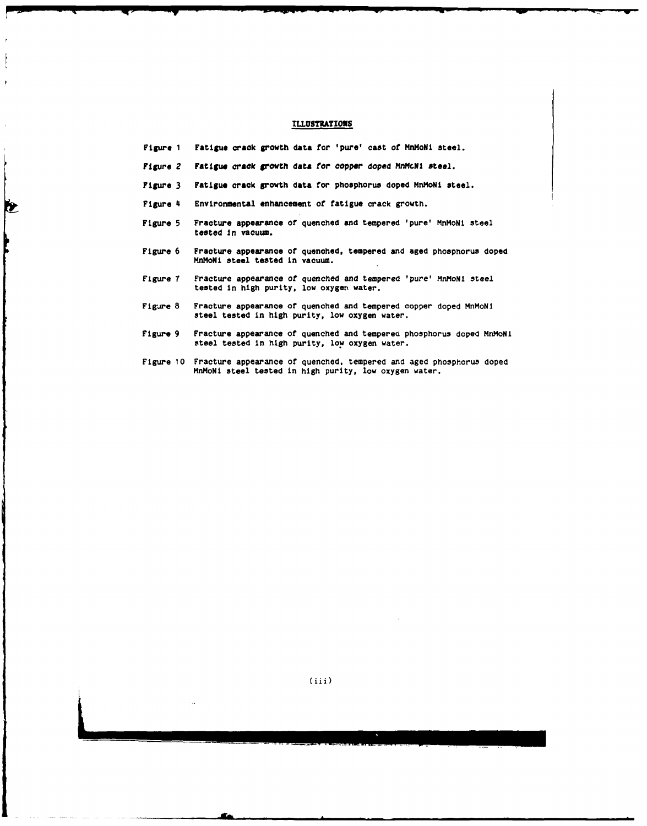## **ILLUSTRATIONS**

**| i-I- , , -,** - **I**

- Figure 1 Fatigue crack growth data for 'pure' cast of MnMoNi steel.
- Figure <sup>2</sup>*Fatigu, crack growth* data *tot* copper doped MnHcN1 **steel.**
- Figure 3 Fatigue crack growth data for phosphorus doped MnMoNi steel.
- Figure 4 Environmental enhancement of fatigue crack growth.

le

- Figure 5 Fracture appearance of quenched and tempered 'pure' MnMoNi steel tested In vacuum.
- Figure **6** Fracture appearance of quenched, tempered and aged phosphorus doped **Mn4oNi** steel tested In vacuum.
- Figure 7 Fracture appearance of quenched and tempered 'pure' MnMoNi steel tested in high purity, low oxygen water.
- Figure **8** Fracture appearance of quenched and tempered copper doped MnMoNI steel tested in **high** purity, low oxygen water.
- Figure 9 Fracture appearance of quenched and tempered phosphorus doped MnMoNi steel tested in **high** purity, low oxygen water.
- Figure **10** Fracture appearance of quenched, tempered and aged phosphorus doped MnHoNi steel tested in high purity, low oxygen water.

(iii)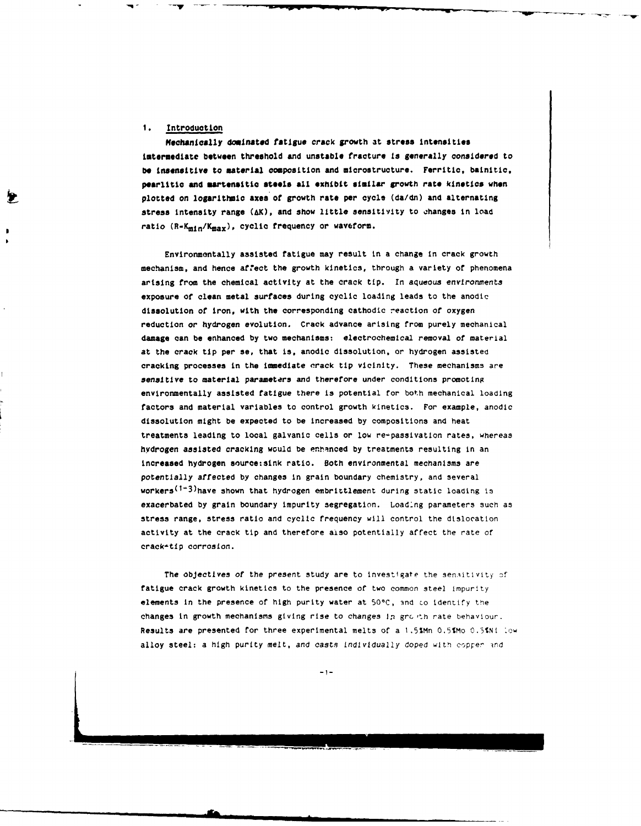## **1. Introduction**

**eqechanically dominated fatigue crack growth at** stress **intensities imtermediate between threshold and unstable fracture Is generally considered to** be insensitive to material composition and microstructure. Ferritic, bainitic, **pearlitic and mawtensitic steels all exhibit similar growth rate kinetics when plotted on** logarithmic axes **of** growth **rate per cycle (da/dn) and alternating** stress **intensity range (AK), and show little sensitivity to changes in load** ratio (R-K<sub>min</sub>/K<sub>max</sub>), cyclic frequency or waveform.

**Environmentally assisted fatigue may result in a change** in crack growth **mechanism, and hence affect the growth kinetics, through a variety** of phenomena arising from the chemical activity at the crack tip. In aqueous environments exposure **of** clean metal surfaces during cyclic loading leads to the anodic dissolution of iron, with the corresponding cathodic reaction of oxygen reduction or hydrogen evolution. Crack advance arising from purely mechanical damage can **be** enhanced **by** two mechanisms: electrochemical removal **of** material at the crack tip per as, that **is.** anodic dissolution, or hydrogen assisted cracking processes In the immediate crack tip vicinity. These mechanisms are sensitive to material parameters and therefore under conditions promoting environmentally assisted fatigue there is potential for both mechanical loading factors and material variables to control growth kinetics. **For** example, anodic dissolution might be expected to be increased by compositions and heat treatments leading to local galvanic cells or low re-passivation rates, whereas hydrogen assisted cracking would be enhanced **by** treatments resulting in an increased hydrogen source:sLnk ratio. Both environmental mechanisms are potentially affected **by** changes In grain boundary chemistry, and several workers<sup>(1-3)</sup>have shown that hydrogen embrittlement during static loading is exacerbated **by** grain boundary impurity segregation. Loadlng parameters such as stress range, stress ratio **and** cyclic frequency will control the dislocation activity at the crack tip and therefore also potentially affect the rate or crack-tip corrosion.

The objectives of the present study are to investigate the sensitivity of fatigue crack growth kinetics to the presence of two common steel impurity elements In the presence of high purity water at **500C,** 3nd io identify **the** changes in growth mechanisms giving rise to changes in growth rate behaviour. Results are presented for three experimental melts of a 1.5%Mn 0.5SMo **C.5%Ni IDw** alloy steel: a high purity melt, and casts Individually doped with copper ind

 $-1-$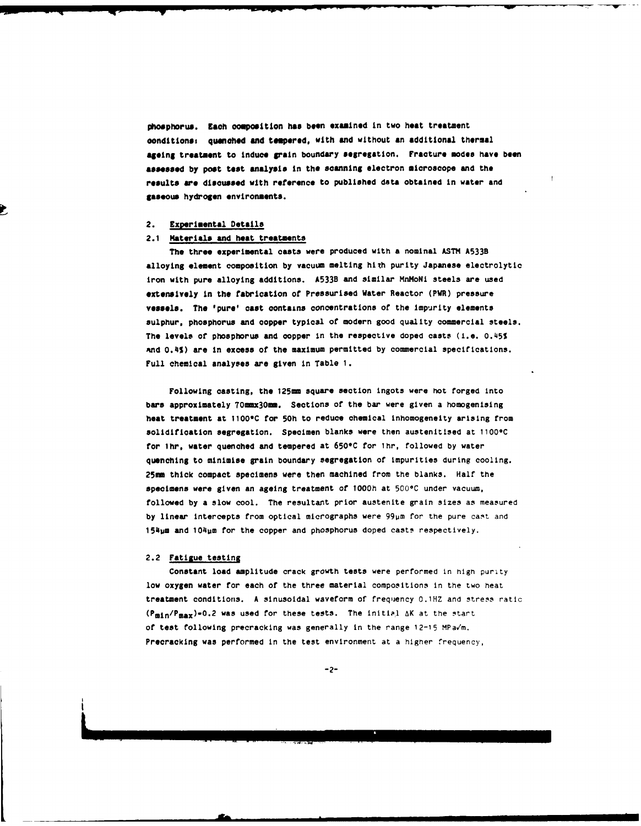phosphorus. Each composition has **been** examined in **two heat treatment oonditiones quenched** and **tempered,** with and without an additional thermal **ageing treatment to Induce grain boundary segregation. Fracture modes have** boen **assessed by poet** test *analysis* in the scanning electron microscope and the **results are disoussed** with **reference** to published **data obtained in water** and **gaseous hydrogen environments.**

### **2. Experimental Details**

#### 2.1 Materials **and heat treatments**

The three experimental casts were produced with a nominal **ASTh A533B** alloying element composition **by** vacuum melting high purity Japanese electrolytic Iron with pure alloying additions. **A533B** and similar MnMoNi steels are used extensively in the fabrication of Pressurised Water Reactor (PWR) pressure vessels. The 'pure' cast contains concentrations of the Impurity elements sulphur, phosphorus and copper typical of modern good quality commercial steels. The levels of phosphorus and copper in the respective doped casts (i.e. **0.45%** sknd **0.4%)** are in excess of the maximum permitted **by** commercial specifications. Full chemical analyses are given in Table **1.**

Following casting, the **125mm** square section Ingots were hot forged Into bars approximately 70mmx30mm. Sections of the bar were given a homogenising heat treatment at **11000C** for **50h** to reduce chemical inhomogeneity arising from solidification segregation. Specimen blanks were then austenitised at 1100°C for lhr. water quenched and tempered at **6506C** for lhr, followed **by** water quenching to minimise grain boundary segregation of impurities during cooling. 25mm thick compact specimens were then machined from the blanks. Half the specimens were given an ageing treatment of 1000h at 500°C under vacuum, followed **by** a slow cool. The resultant prior austenite grain sizes as measured by linear intercepts from optical micrographs were 99µm for the pure cast and 154um and 104um for the copper and phosphorus doped casts respectively.

#### 2.2 Fatigue testing

Constant load amplitude crack growth tests were performed in **high** purity low oxygen water for each of the three material compositions in the two heat treatment conditions. A sinusoidal waveform of frequency 0.1HZ and stress ratic  $(P_{\text{min}}/P_{\text{max}})=0.2$  was used for these tests. The initial  $\Delta K$  at the start of test following precracking was generally in the range **12-15** MPa/m. Precracking was performed In the test environment at a higher frequency,

-2-

**h.\_\_\_\_\_\_\_\_\_\_\_\_\_\_\_\_\_\_\_\_\_\_\_\_\_\_**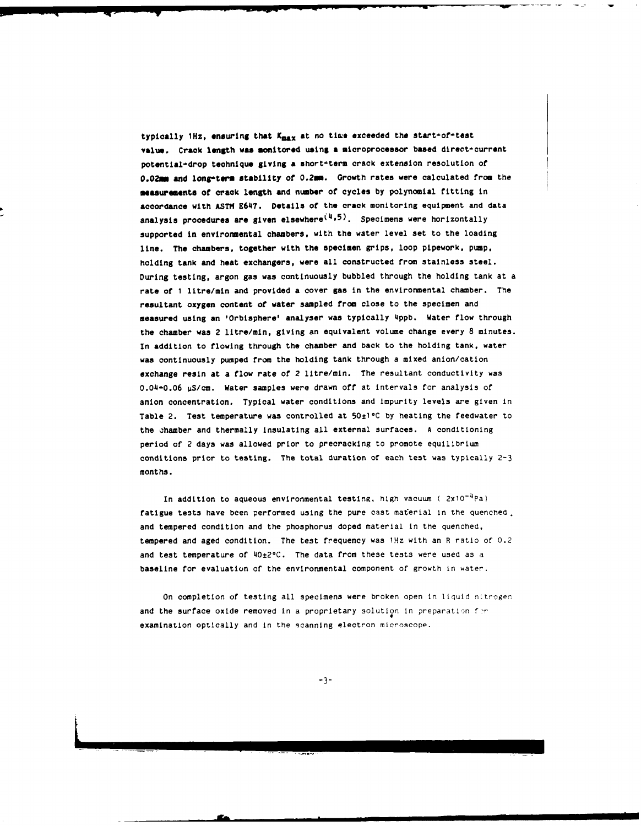typically 1Hz, ensuring that K<sub>max</sub> at no time exceeded the start-of-test **value. Crack length was monitored using a microprocessor based direct-current** potential-drop technique giving a short-term crack extension resolution of 0.02mm and long-term stability of 0.2mm. Growth rates were calculated from the **measurements of** crack **length** and number of cycles **by** polynomial fitting in accordance with **ASTH E647.** Details **of** the crack monitoring equipment and data analysis procedures are given elsewhere<sup>(4,5)</sup>. Specimens were horizontally supported In environmental chambers, with the water level set to the loading line. The chambers, together with the specimen grips, loop pipework, **pump,** holding tank and **heat** exchangers, were all constructed from stainless steel. During testing, argon gas was continuously bubbled through the holding tank at a rate of **1** litre/min and provided a cover gas in the environmental chamber. The resultant oxygen content of water sampled from close to the specimen and measured using an 'Orbisphere' analyser **was** typically **4ppb.** Water **flow** through the chamber was 2 litre/min, giving an equivalent volume change every **8** minutes. In addition to flowing through the chamber and back to the holding tank, water was continuously pumped from the holding tank through a mixed anion/cation exchange resin at a flow rate of 2 litre/min. The resultant conductivity was 0.04-0.06 uS/cm. Water samples were drawn off at Intervals for analysis **of** anion concentration. Typical water conditions and impurity levels are given in Table 2. Test temperature was controlled at 50±1°C by heating the feedwater to the ehamber and thermally Insulating all external surfaces. **A** conditioning period of 2 days was allowed prior to precracking to promote equilibrium conditions prior to testing. The total duration of each test was typically **2-3** months.

In addition to aqueous environmental testing, **high** vacuum **(** 2x10-4Pa) fatigue tests have been performed using the pure cast material in the quenched. and tempered condition and the phosphorus doped material in the quenched, tempered and aged condition. The test frequency was 1Hz with an R ratio of 0.2 and test temperature of 40±2°C. The data from these tests were used as a baseline for evaluation of the environmental component of growth in water.

On completion of testing all specimens were broken open in liquid nitrogen and the surface oxide removed in a proprietary solution in preparation **f**examination optically and in the 9canning electron microscope.

**-3-**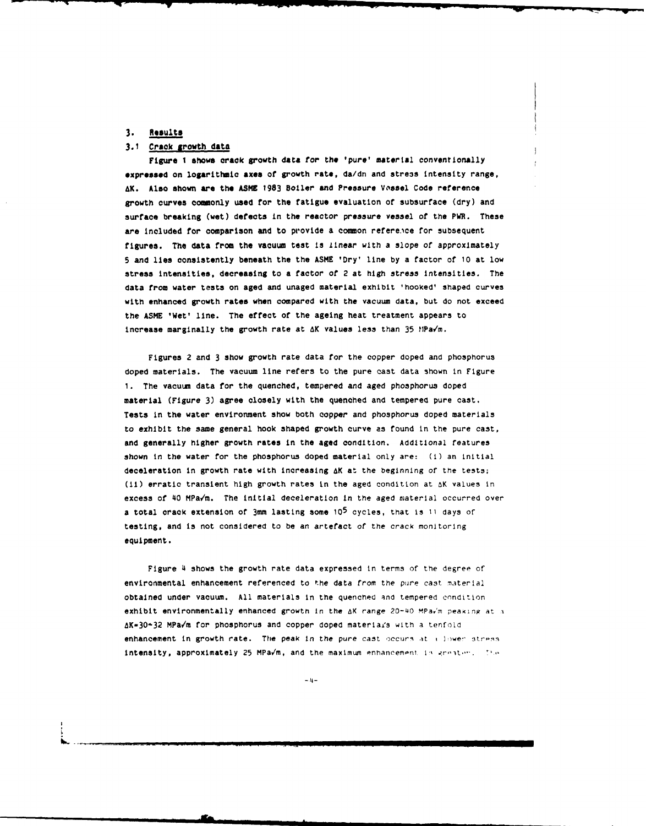#### **3. Results**

# **3.1 Crack growth data**

**Figure I shows** crack growth data for the 'pure' material conventionally **expressed on logaritthmic axes** of growth rate, da/dn and stress intensity range, AK. Also shown are the ASME 1983 Boiler and Pressure Vossel Code reference growth curves commonly used for the fatigue evaluation of subsurface (dry) and surface breaking (wet) defects in the reactor pressure **vessel** of the PWR. These are included for comparison and to provide a common reference for subsequent figures. The data from the vacuum test is linear with a slope of approximately **5** and lies consistently beneath the the **ASME** 'Dry' line **by** a factor of **10** at low stress intensities, decreasing to **a** factor **of** 2 at high stress intensities. The data from water tests on aged and unaged material exhibit 'hooked' shaped curves with enhanced growth rates when compared with the vacuum data, but do not exceed the **ASME** 'Wet' line. The effect of the ageing heat treatment appears to Increase marginally the growth rate at **AK** values less than **35** HPa'm.

Figures 2 and 3 show growth rate data for the copper doped and phosphorus doped materials. The vacuum line refers to the pure cast data shown in Figure **1.** The vacuum data for the quenched, tempered and aged phosphorus doped material (Figure **3)** agree closely with the quenched and tempered pure cast. Tests in the water environment show both copper and phosphorus doped materials to exhibit the same general hook shaped growth curve as found in the pure cast, and generally higher growth rates in the **aged** condition. Additional features shown in the water for the phosphorus doped material only are: (i) an initial deceleration in growth rate with increasing **AK** at the beginning of the tests; (ii) erratic transient high growth rates In the aged condition at &K values in excess of 40 MPa/m. The initial deceleration In the aged material occurred over a total crack extension of 3mm lasting some **105** cycles, that Is **11** days of testing, and is not considered to be an artefact of the crack monitoring equipment.

Figure 4 shows the growth rate data expressed in terms of the degree of environmental enhancement referenced to the data from the pure cast material obtained under vacuum. All materials in the quenched and tempered condition exhibit environmentally enhanced growth in the  $\Delta K$  range 20-40 MPa $\epsilon'$ m peaking at a AK-30-32 MPav'm for phosphorus and copper doped materlais with a tenfold enhancement in growth rate. The peak in the pure cast occurs at a lower stress Intensity, approximately **25** MPa/m. and the maximum enhancempni. **IV .r'-.t.'.**

**- Il -**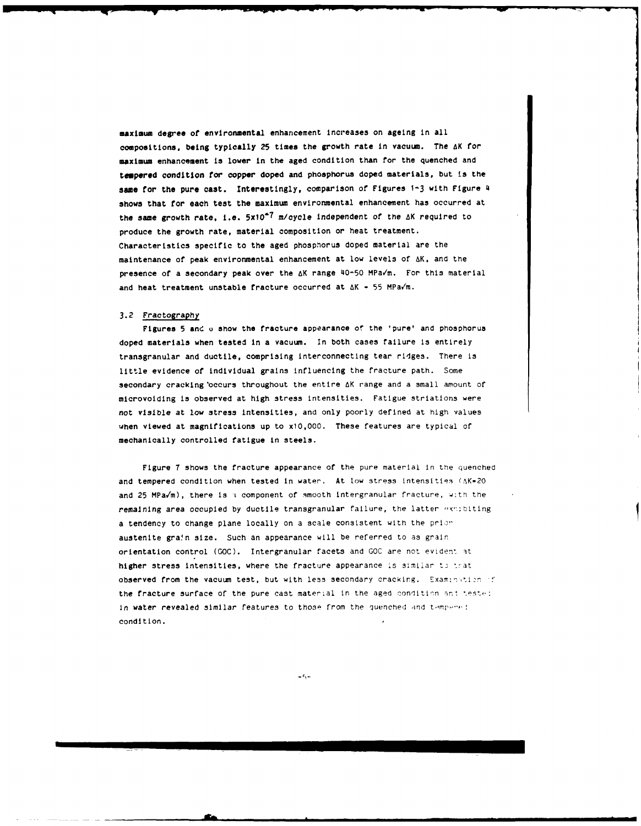maximum **degree of** environmental enhancement increases on ageing in all compositions, being **typically** 25 times the growth rate **in vacuum. The aK** for **maximum** enhancement is lower in the aged condition than for the quenched and tempered condition **for** copper doped **and** phosphorus **doped materials, but is the** same **for** the pure cast. Interestingly, comparison of Figures **1-3** with Figure 4 shows that **for** each test the maximum environmental enhancement has occurred at the same growth rate, i.e.  $5x10^{-7}$  m/cycle independent of the  $\Delta K$  required to produce the growth rate, material composition or heat treatment. Characteristics specific to the aged phosphorus doped material are the maintenance of peak environmental enhancement at low levels of AK, and the presence of a secondary peak over the AK range 40-50 MPaVm. For this material and heat treatment unstable fracture occurred at  $\Delta K = 55$  MPa/m.

#### **3.2** Fractography

Figures **5** and **0** show the fracture appearance of the 'pure' and phosphorus doped materials when tested in a vacuum. In both cases failure is entirely transgranular and ductile, comprising interconnecting tear ridges. There is little evidence of individual grains influencing the fracture path. Some secondary cracking occurs throughout the entire AK range and a small amount of microvoiding is observed at high stress intensities. Fatigue striations were not visible at low stress intensities, and only poorly defined at high values when viewed at magnifications up to x10,000. These features are typical of mechanically controlled fatigue in steels.

Figure 7 shows the fracture appearance of the pure material In the quenched and tempered condition when tested in water. At low stress intensities (AK=20 and 25 MPa/m), there is a component of smooth intergranular fracture. with the remaining area occupied by ductile transgranular failure, the latter exmibiting a tendency to change plane locally on a scale consistent with the prior austenite grain size. Such an appearance will be referred to as grain orientation control **(GOC).** Intergranular facets and GOC are not evident it higher stress intensities, where the fracture appearance is similar to trat observed from the vacuum test, but with less secondary cracking. Examination of the fracture surface of the pure cast material in the aged condition and teste: In water revealed similar features to those from the quenched and tempered condition.

 $-5 -$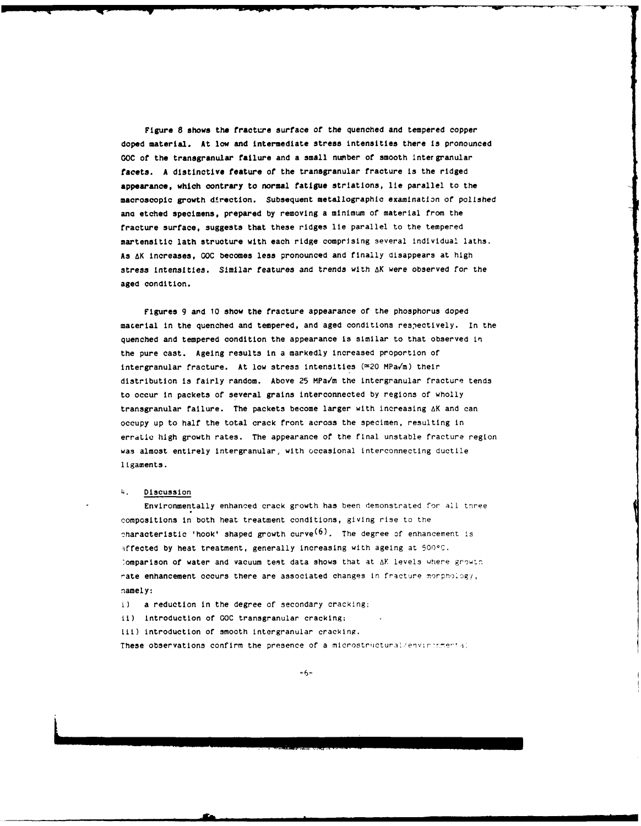Figure **8** shows the fracture surface of the quenched and tempered copper doped material. At low and intermediate stress intensities there is pronounced **GOC of** the transgranular failure and a small number of smooth inter granular facets. A distinctive feature of the transgranular fracture is the ridged appearance, which contrary to normal fatigue striations, lie parallel to the macroscopic growth direction. Subsequent metallographic examination of polished ano etched specimens, prepared **by** removing a minimum of material from the fracture surface, suggests that these ridges lie parallel to the tempered martensitic lath structure with each ridge comprising several individual laths. **As** AK increases, **GOC** becomes less pronounced and finally disappears at high stress intensities. Similar features and trends with AK were observed for the aged condition.

Figures **9** and **10** show the fracture appearance of the phosphorus doped macerial in the quenched and tempered, and aged conditions respectively. In the quenched and tempered condition the appearance is similar to that observed in the pure cast. Ageing results in a markedly increased proportion of intergranular fracture. At low stress intensities  $(\approx 20 \text{ MPa/m})$  their distribution is fairly random. Above 25 MPa'm the intergranular fracture tends to occur in packets of several grains interconnected **by** regions of wholly transgranular failure. The packets become larger with increasing AK and can occupy up to half the total crack front across the specimen, resulting in erratic high growth rates. The appearance of the final unstable fracture region was almost entirely intergranular, with occasional interconnecting ductile ligaments.

#### 4. Discussion

Environmentally enhanced crack growth has been demonstrated for **all** tree compositions in both heat treatment conditions, giving rise to the characteristic 'hook' shaped growth curve<sup>(6)</sup>. The degree of enhancement is iffected **by** heat treatment, generally increasing with ageing at 500\*C. :omparison of water and vacuum test data shows that at AK levels where growtn rate enhancement occurs there are associated changes in fracture morphology, namely:

i) a reduction in the degree of secondary cracking;

ii) introduction of **GOC** transgranular cracking;

iII) introduction of smooth intergranular cracking.

These observations confirm the presence of a microstructural/environmental

 $+6-$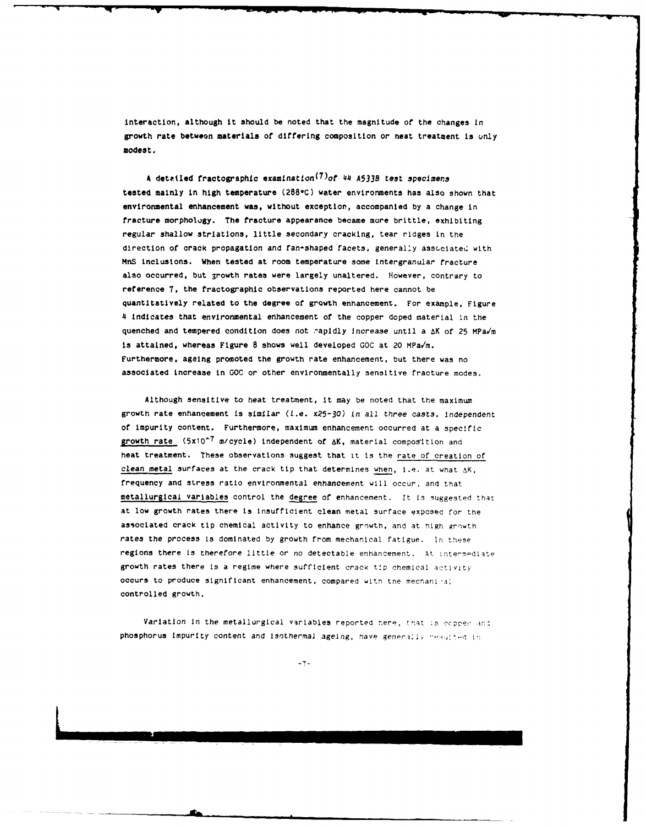interaction, although it should be noted that the magnitude of the changes in growth rate between materials of differing composition or neat treatment is only modest.

**A** detailed fractographLc eamLnatlion(<sup>7</sup> )of 44 **A533B** test specimens tested mainly in high temperature **(2880C)** water environments has also shown that environmental enhancement was, without exception, accompanied **by** a change in fracture morphology. The fracture appearance became more brittle, exhibiting regular shallow striations, little secondary cracking, tear ridges in the direction of crack propagation and fan+shaped facets, generally associated with MnS inclusions. When tested at room temperature some Intergranular fracture also occurred, but growth rates were largely unaltered. However, contrary to reference **7,** the fractographic observations reported here cannot be quantitatively related to the degree of growth enhancement. For example, Figure 4 Indicates that environmental enhancement of the copper doped material in the quenched and tempered condition does not rapidly increase until a **AX** of **25** MPa/m is attained, whereas Figure **8** shows well developed **GOC** at 20 MPaV/m. Furthermore, ageing promoted the growth rate enhancement, but there was no associated increase in **GOC** or other environmentally sensitive fracture modes.

Although sensitive to heat treatment, it may be noted that the maximum growth rate enhancement is similar (i.e. x25-30) in all three casts, independent of impurity content. Furthermore, maximum enhancement occurred at a specific growth rate (5x10<sup>-7</sup> m/cycle) independent of  $\Delta K$ , material composition and heat treatment. These observations suggest that it is the rate of creation of clean metal surfaces at the crack tip that determines when, i.e. at what  $\Delta K$ , frequency and stress ratio environmental enhancement will occur, and that metallurgical variables control the degree of enhancement. It is suggested that at low growth rates there is insufficient clean metal surface exposed for the associated crack tip chemical activity to enhance growth, and at high growth rates the process is dominated by growth from mechanical fatigue. In these regions there is therefore little or no detectable enhancement. At intermediate growth rates there is a regime where sufficient crack tip chemical activjty occurs to produce significant enhancement, compared with the mechanical controlled growth.

Variation in the metallurgical variables reported here, that is ecpper and phosphorus impurity content and isothermal ageing, have generally resulted in

**-7-**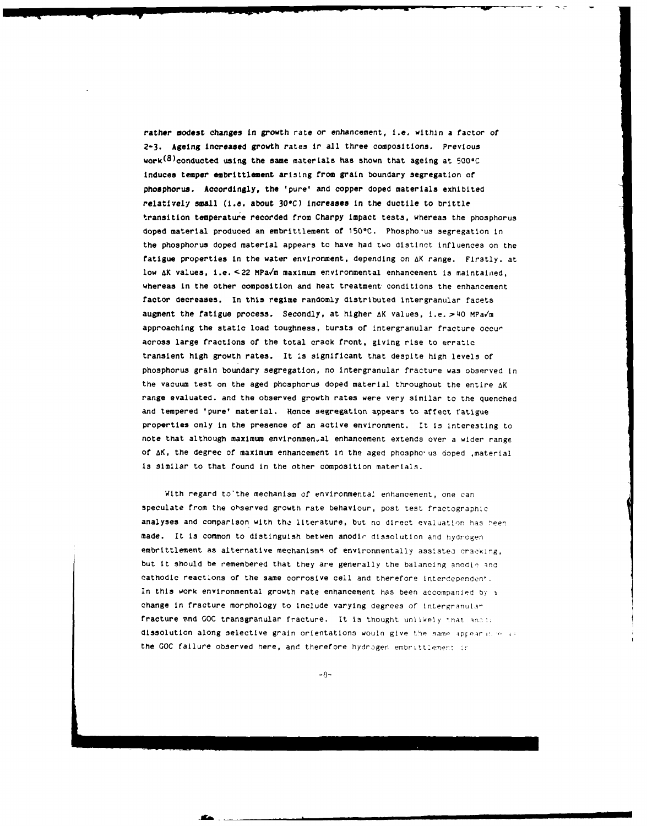**rather modest changes** In growth rate or enhancement, I.e. within a factor of **2-3.** Ageing Increased growth rates **ir** all three compositions. Previous work<sup>(8)</sup>conducted using the same materials has shown that ageing at 500°C induces temper embrittlement arising from grain boundary segregation of phosphorus. Accordingly, the 'pure' and copper doped materials exhibited relatively small **(i.e.** about **30C)** Increases in the ductile to brittle transition temperature recorded from Charpy impact tests, whereas the phosphorus doped material produced an embrittlement of **<sup>150</sup> <sup>0</sup> C.** Phospho.-us segregation in the phosphorus doped material appears to have had two distinct influences on the fatigue properties in the water environment, depending on AK range. Firstly. at low AK values, i.e. **<22** MPaY'm maximum environmental enhancement is maintained, whereas in the other composition and heat treatment conditions the enhancement factor decreases. In this regime randomly distributed Intergranular facets augment the fatigue process. Secondly, at higher  $\Delta K$  values, i.e. > 40 MPa $\sqrt{m}$ approaching the static load toughness, bursts of intergranular fracture occur across large fractions of the total crack front, giving rise to erratic transient high growth rates. It is significant that despite high levels of phosphorus grain boundary segregation, no intergranular fracture was observed in the vacuum test on the aged phosphorus doped material throughout the entire AK range evaluated, and the observed growth rates were very similar to the quenched and tempered 'pure' material. Hence segregation appears to affect fatigue properties only in the presence of an active environment. It is interesting to note that although maximum environmen.al enhancement extends over a wider range of AK, the degree of maximum enhancement in the aged phospho'us doped ,material is similar to that found in the other composition materials.

With regard to the mechanism of environmental enhancement, one can speculate from the ohserved growth rate behaviour, post test fractographic analyses and comparison with the literature, but no direct evaluation has been made. It is common to distinguish betwen anodir dissolution and hydrogen embrittlement as alternative mechanisms of environmentally assisted cracking, but it should be remembered that they are generally the balancing anodic and cathodic reactions of the same corrosive cell and therefore Interdependen'. In this work environmental growth rate enhancement has been accompanied by a change in fracture morphology to include varying degrees of intergranular fracture and GOC transgranular fracture. It is thought unlikely 'hat **n:;** dissolution along selective grain orientations would give the same appearance as the GOC failure observed here, and therefore hydrogen embrittlement in

 $-8-$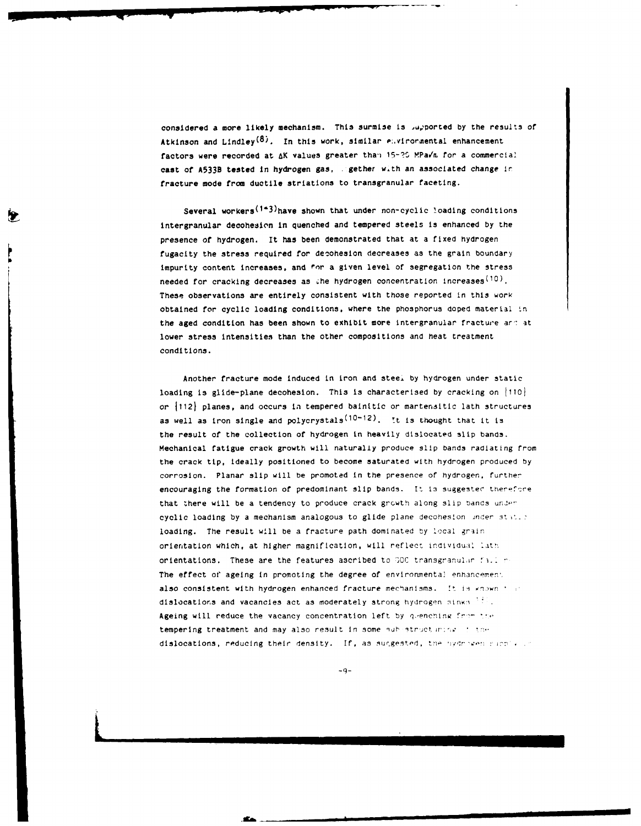considered a more likely mechanism. This surmise is u,ported by the results of Atkinson and Lindley<sup>(8)</sup>. In this work, similar envirormental enhancement factors were recorded at  $\Delta K$  values greater than 15-20 MPa/m for a commercial cast **of A533B** tested in hydrogen gas, gether wth an associated change ir fracture mode from ductile striations to transgranular faceting.

Several workers<sup>(143)</sup>have shown that under non-cyclic loading conditions intergranular decohesion in quenched and tempered steels is enhanced **by** the presence of hydrogen. It has been demonstrated that at a fixed hydrogen fugacity the stress required for deoohesion decreases as the grain boundary impurity content increases, and for a given level of segregation the stress needed for cracking decreases as the hydrogen concentration increases<sup>(10)</sup>. These observations are entirely consistent with those reported in this work obtained for cyclic loading conditions, where the phosphorus doped material tn the aged condition has been shown to exhibit more intergranular fracture and at lower stress intensities than the other compositions and heat treatment conditions.

Another fracture mode induced in iron and steel **by** hydrogen under static loading is glide-plane decohesion. This is characterised by cracking on  $|110|$ or 11121 planes, and occurs **In** tempered bainitic or martenaitic lath structures as well as iron single and polycrystals<sup>(10-12)</sup>. It is thought that it is the result of the collection of hydrogen in heavily dislocated slip bands. Mechanical fatigue crack growth will naturally produce slip bands radiating from the crack tip, ideally positioned to become saturated with hydrogen produced by corrosion. Planar slip will be promoted in the presence of hydrogen, further encouraging the formation of predominant slip bands. It is suggested therefore that there will be a tendency to produce crack growth along slip bands under cyclic loading by a mechanism analogous to glide plane decohesion inder station loading. The result will be a fracture path dominated by local grain orientation which, at higher magnification, will reflect individual lath orientations. These are the features ascribed to 000 transgranular facilir-The effect of ageing in promoting the degree of environmental enhancement also consistent with hydrogen enhanced fracture mechanisms. It is known that dislocations and vacancies act as moderately strong hydrogen sinks  $\mathbb{H}$ . Ageing will reduce the vacancy concentration left by quenching from the tempering treatment and may also result in some quhistruct mink of the dislocations, reducing their density. If, as suggested, the '19drocen single in

**-9-**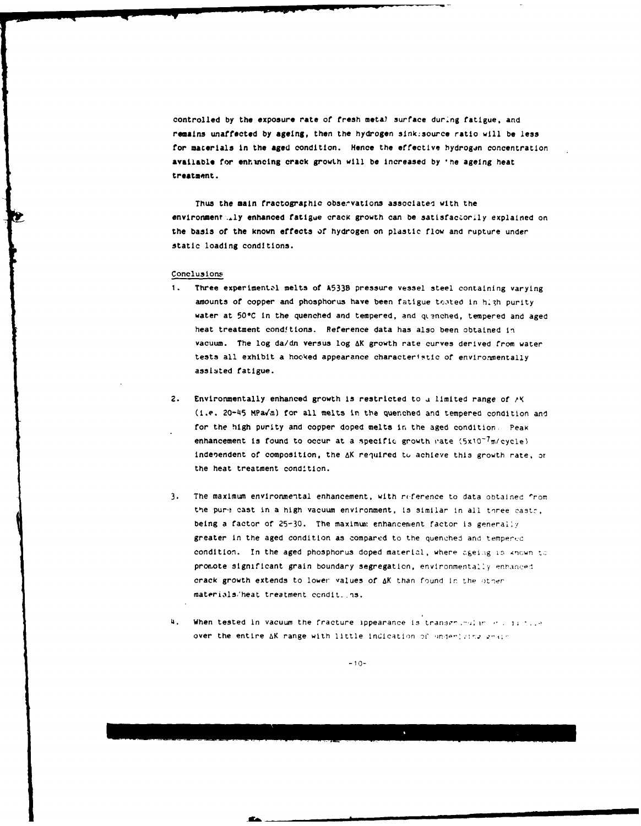controlled by the exposure rate of fresh metal surface during fatigue, and remains unaffected **by** ageing, then the hydrogen sinksource ratio will **be** less for materials in the aged condition. Hence the effective hydrogen concentration available for enhncing crack growLh will be increased **by 'he** ageing heat treatment.

Thus the main fractographic observations associated with the environment ..ly enhanced fatigue crack growth can be satisfaccorily explained on the basis of the known effects of hydrogen on plastic flow and rupture under static loading conditions.

#### Conclusions

- **I.** Three experimentzl melts of **A533B** pressure vessel steel containing varying amounts of copper and phosphorus have been fatigue tested in high purity water at 50°C in the quenched and tempered, and quenched, tempered and aged heat treatment cond!tions. Reference data has also been obtained in vacuum. The log da/dn versus log 4K growth rate curves derived from water tests all exhibit a hooked appearance characteristic of environmentally assisted fatigue.
- 2. Environmentally enhanced growth is restricted to a limited range of  $\wedge$ K (i.e. 20-45 MPa,/'a) for all melts in the quenched and tempered condition and for the high purity and copper doped melts **in** the aged condition Peak enhancement is found to occur at a specific growth rate  $(5x10^{-7}\pi/cycle)$ indebendent of composition, the AK required to achieve this growth rate, or the heat treatment condition.
- **3.** The maximum environmental enhancement, with riference to data obtained 'rom the pure cast in a high vacuum environment, is similar in all toree casts, being a factor of 25-30. The maximum enhancement factor is generally greater in the aged condition as compared to the quenched and tempered condition. In the aged phosphorus doped material, where ageing is known to promote significant grain boundary segregation, environmentally enhanced crack growth extends to lower values of **aK** than found **Ir.** the c)thor materiils,'heat treatment ccndit. **.ns.**
- 4. When tested in vacuum the fracture ippearance is transgraphic and in the state. over the entire AK range with little indication of underlateg grain

**-10-**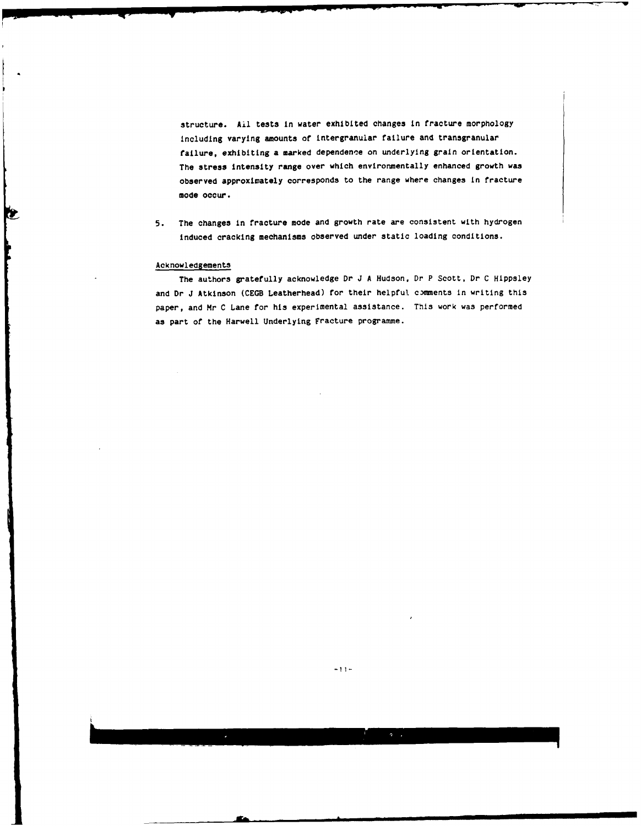structure. Ail tests in water exhibited changes in tracture morphology including varying amounts ot intergranular failure and tranagranular failure, exhibiting a marked dependence on underlying grain orientation. The stress intensity range over which environmentally enhanced growth was observed approximately corresponds to the range where changes in fracture mode occur.

**5.** The changes in fracture mode and growth rate are consistent with hydrogen induced cracking mechanisms observed under static loading conditions.

# Acknowledgements

**b** 

Ł

The authors gratefully acknowledge Dr J **A** Hudson, Dr P Scott. Dr **C** Hippsley and Dr J Atkinson (CEGB Leatherhead) for their helpful comments in writing this paper, and Mr **C** Lane **for** his experimental assistance. This work was performed as part ot the Harwell Underlying Fracture programme.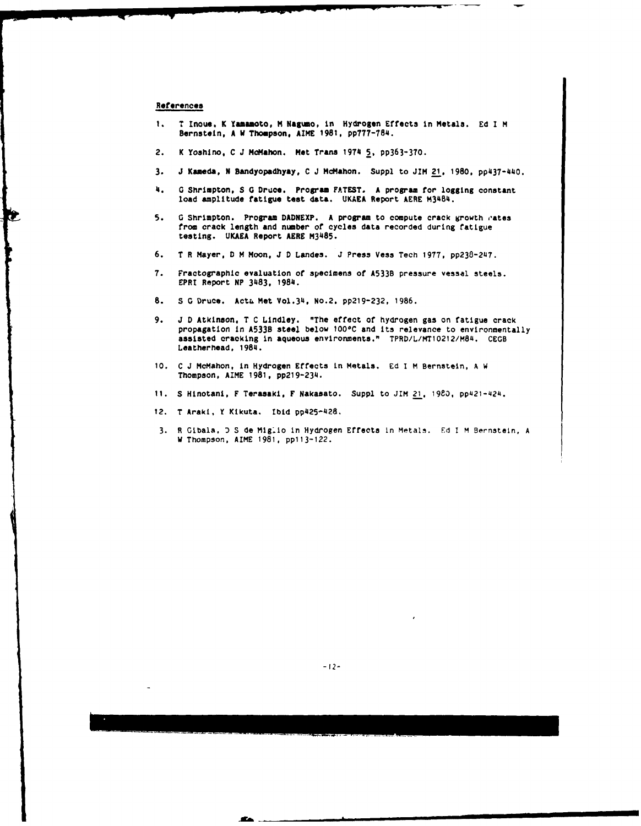#### **References**

Ċ.

- 1. **T** Inoue, K Yamamoto, **H Nagumo,** in Hydrogen Effects In Metals. **Ed I M** Bernstein, A W Thompson. **AIME 1981. pp777-784.**
- 2. K YoshIno, **C** J **Molahon. Met Trans** 197 **5, pp363-370.**
- **3. J Kameda, N Bandyopadhyay. C J** McMahon. Suppl to JIM **21, 1980,** pp437-440.
- 4. **G** Shrimpton, **S G** Druce. Program **FATEST.** A program for logging constant load amplitude fatigue test data. **UKAEA** Report AERE M384.
- **5. G** Shrimpton. Program **DADNEXP.** A program to compute crack growth **rates** from crack length and number of cycles data recorded during fatigue testing. **UKAEA** Report AERE M3485.
- 6. **T** R Mayer, **D** M Moon, **J D** Landes. J Press **Vess** Tech **1977,** pp238-2U7.
- **7.** Fractographic evaluation **of** specimens of **A5338** pressure vessel steels. EPRI Report **NP 3483, 1984.**
- 8. **S G Druce.** Acta Met Vol.34, No.2. pp219-232, 1986.
- **9. J D** Atkinson, T C Lindley. "The effect of hydrogen gas on fatigue crack propagation in **A533B** steel below 1000C and its relevance to environmentally assisted cracking in aqueous environments." TPRD/L/MT10212/M84. **CECB** Leatherhead, 1984.
- **10. C J** McMahon, In Hydrogen Effects in Metals. **Ed I** M Bernstein. **A** W Thompson, AIME **1981, pp219-234.**
- **11. S** Hinotani, F Terasaki, F Nakasato. Suppl to **JIM** 21, **1980,** pp421-424.
- 12. T Araki, Y Kikuta. **Ibid** pp425-428.
- **3. R** Gibala, **D S** de Mig~lo In Hydrogen Effects in Metalm. Ed **I** M Bernstein, **A W** Thompson, AIME **1981,** pp113-122.

-A|nCn•inniALmmim

**STA**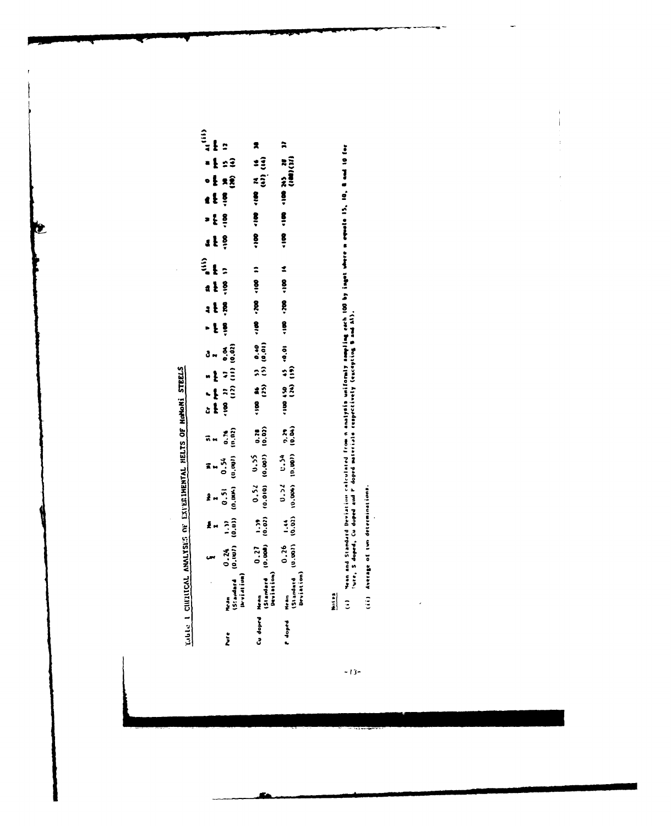LIDEL 1 CULTUCAL ANALYSES OF EXPERIMENTAL HELTS OF HOMONI STEELS

**RE** 

| $\frac{2}{3}$<br>$\begin{bmatrix}\n\mathbf{r} & \mathbf{r} & \mathbf{r} \\ \mathbf{r} & \mathbf{r} & \mathbf{r} \\ \mathbf{r} & \mathbf{r} & \mathbf{r}\n\end{bmatrix}$<br>Ã.<br>$\frac{1}{100}$ (iv)<br>(iv) (iv)<br>$\frac{1}{2}$<br>$\frac{1}{2}$<br>$\frac{1}{2}$<br>$\bullet$ $\frac{1}{2}$<br>$rac{8}{3}$<br>$\frac{2}{3}$<br>$=$ $\frac{1}{2}$<br>$\frac{8}{3}$<br>$\ddot{\mathbf{s}}$<br>1 <sup>8</sup><br>$\ddot{\phantom{a}}$<br>11 001-002-001-<br>$a \ddagger \frac{8}{7}$<br>$-15$<br>$(10, 0)$ (3) $(3)$ (3) (4) (4)<br>$3 - \frac{3}{6}$ $\frac{3}{6}$<br>$\sum_{i=0}^{n}$<br>$\frac{0.78}{10.02}$<br>$0.54$<br>((00.0) (400.0)<br>$0.52$ 0.5235<br>(10.010) 10.001)<br>$\begin{pmatrix} 1 & 5 & 5 \\ 1 & 5 & 5 \\ 0 & 0 & 0 \\ 0 & 0 & 0 \end{pmatrix}$<br>Ma<br>1<br>0.51<br>(0.00K)<br>$\frac{1}{100}$<br>$\begin{bmatrix} 0.27 & 1.39 \\ 10.000 & 10.023 \end{bmatrix}$<br>$\frac{1}{2}$ = $\frac{2}{3}$<br>$0.26$<br>$(0.001)$<br>$\frac{1}{2}$<br>$\frac{24}{10}$<br>Mean<br>(Standard<br>Deviation)<br>Mean<br>(Slandard<br>Devialion)<br>Mean<br>(Standard<br> Arvidlium) |          |  |  |  |  |  |  | $\hat{\mathbf{z}}$ |  |  |  |
|--------------------------------------------------------------------------------------------------------------------------------------------------------------------------------------------------------------------------------------------------------------------------------------------------------------------------------------------------------------------------------------------------------------------------------------------------------------------------------------------------------------------------------------------------------------------------------------------------------------------------------------------------------------------------------------------------------------------------------------------------------------------------------------------------------------------------------------------------------------------------------------------------------------------------------------------------------------------------------------------------------------------------------------------------------------------------------------------------|----------|--|--|--|--|--|--|--------------------|--|--|--|
|                                                                                                                                                                                                                                                                                                                                                                                                                                                                                                                                                                                                                                                                                                                                                                                                                                                                                                                                                                                                                                                                                                  |          |  |  |  |  |  |  |                    |  |  |  |
|                                                                                                                                                                                                                                                                                                                                                                                                                                                                                                                                                                                                                                                                                                                                                                                                                                                                                                                                                                                                                                                                                                  |          |  |  |  |  |  |  |                    |  |  |  |
|                                                                                                                                                                                                                                                                                                                                                                                                                                                                                                                                                                                                                                                                                                                                                                                                                                                                                                                                                                                                                                                                                                  | Cu doprd |  |  |  |  |  |  |                    |  |  |  |
|                                                                                                                                                                                                                                                                                                                                                                                                                                                                                                                                                                                                                                                                                                                                                                                                                                                                                                                                                                                                                                                                                                  |          |  |  |  |  |  |  |                    |  |  |  |

(i) "Hean and Standard Deviation calculated from n analysis uniformly ammpling each 100 by inget where m equate 15, 10, 8 and 10 for<br>"Lite, S doped, Cu duped and P doped materials respectively (excepting 9 and Al).

 $\mathfrak i$  $\,$   $\,$ 

(ii) Average of two determinations.

 $\overline{\phantom{a}}$ 

 $-13-$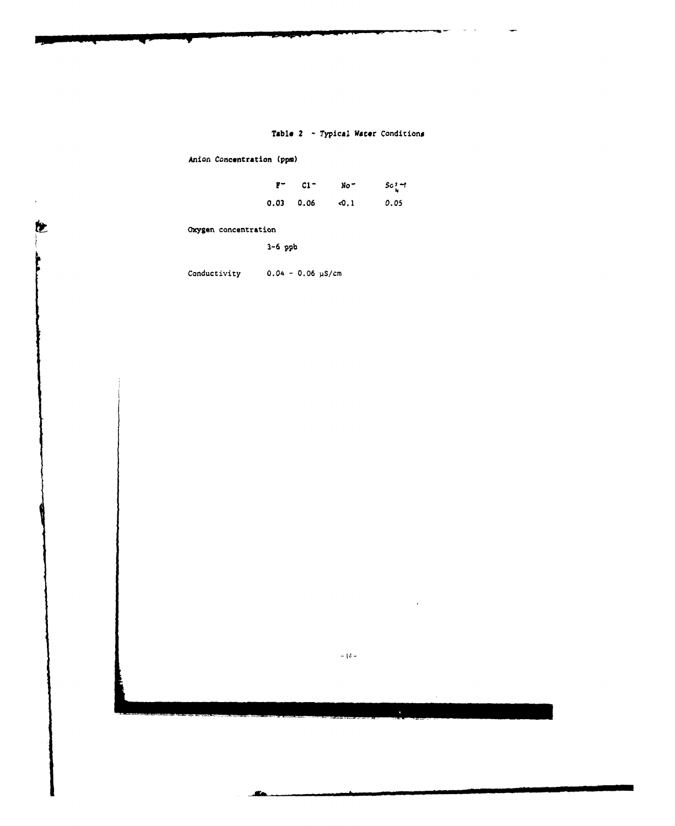# **Table** 2 **-** Typical Water Conditions

Anion Concentration (ppm)

| $F -$ | $C1 -$ | $No -$ | $sc_{\mu}^{3}$ $-1$ |
|-------|--------|--------|---------------------|
| 0.03  | 0.06   | ⊲0.1   | 0.05                |

Oxygen concentration

**3-6 ppb**

 $\bullet$ 

Conductivity 0.04 **- 0.06** pS/cm

 $-1\ell-$ 

Æ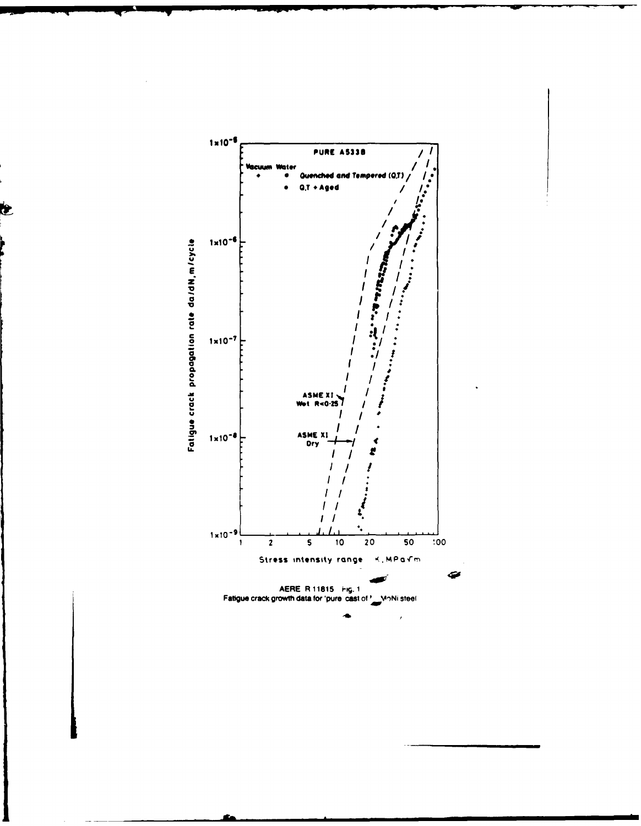

E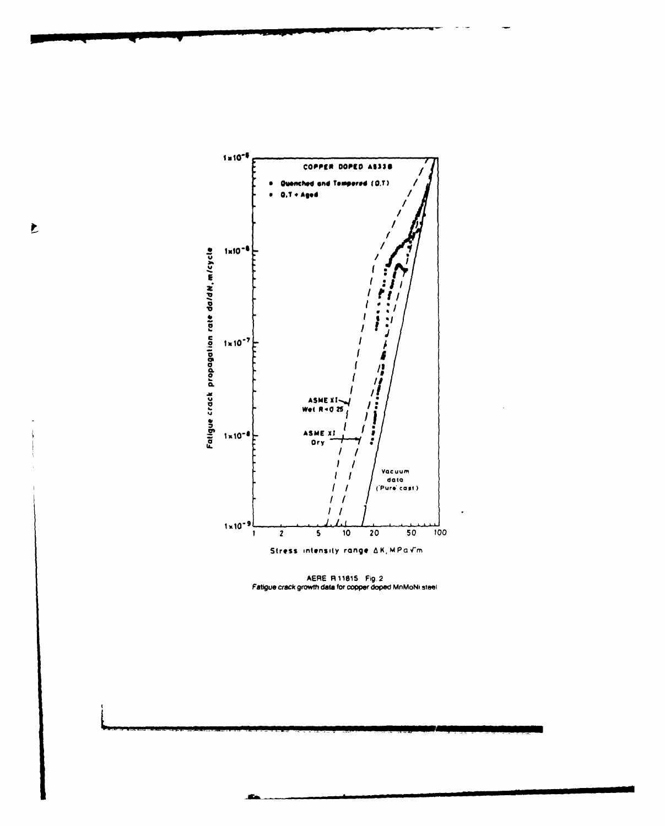

AERE R 11815 Fig. 2<br>Fatigue crack growth data for copper doped MnMoNi steel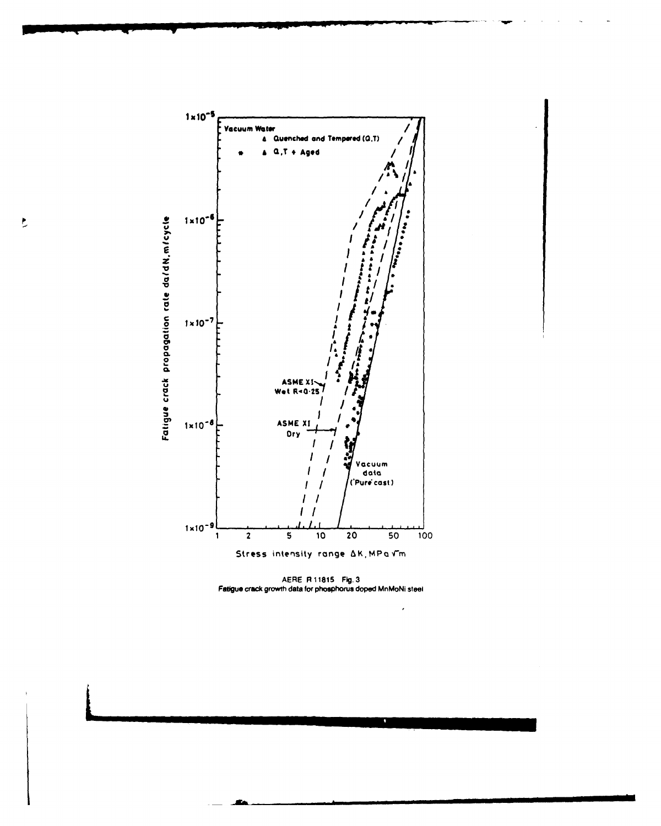

 $\overline{\mathbf{L}}$ 

AERE R 11815 Fig. 3<br>Fatigue crack growth data for phosphorus doped MnMoNi steel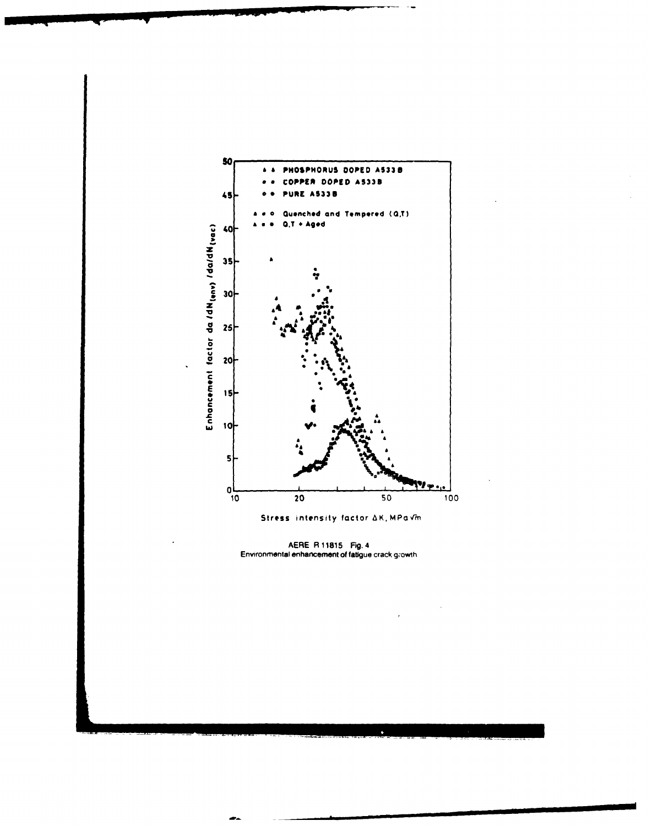

AERE R 11815 Fig. 4<br>Environmental enhancement of fatigue crack growth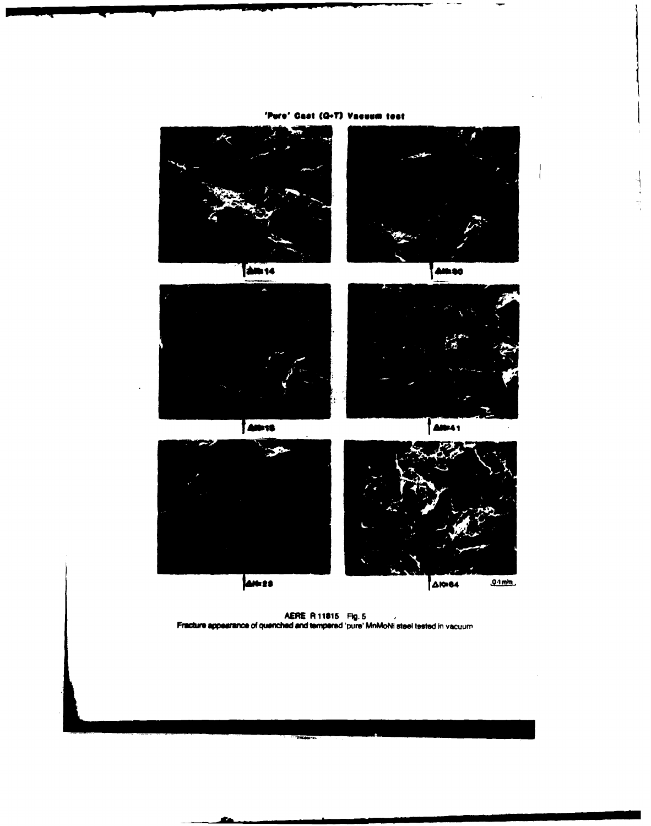

'Pure' Cast (Q-T) Vasuum test

÷.

ż.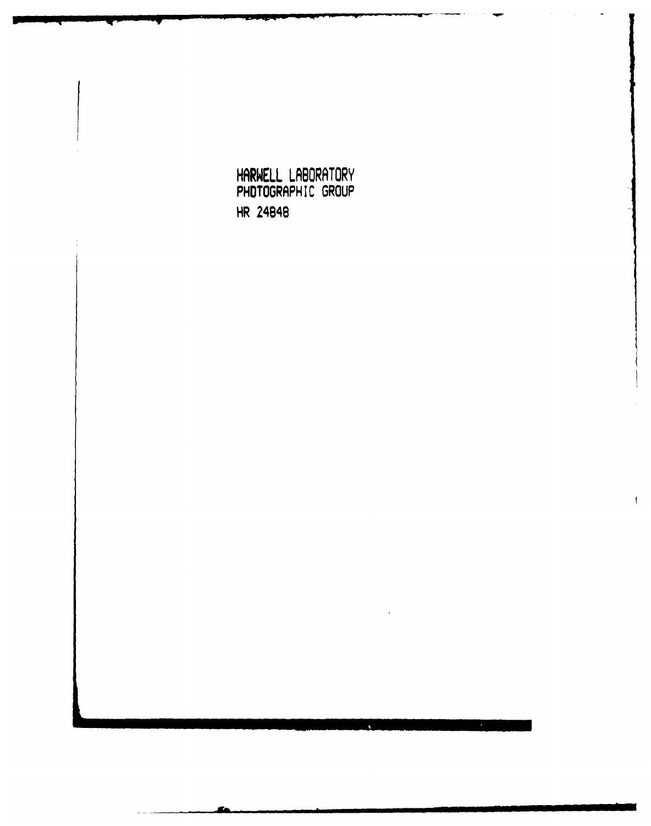**HARWELL LABORATORY** PHOTOGRAPH IC GROUP HR 24848

 $\overline{m}$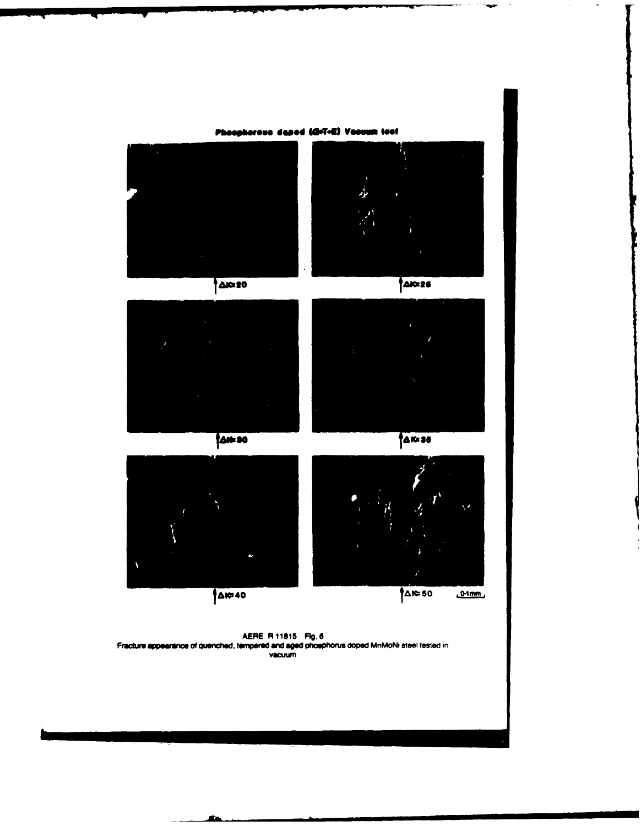

a.

c

 $\overline{\phantom{a}}$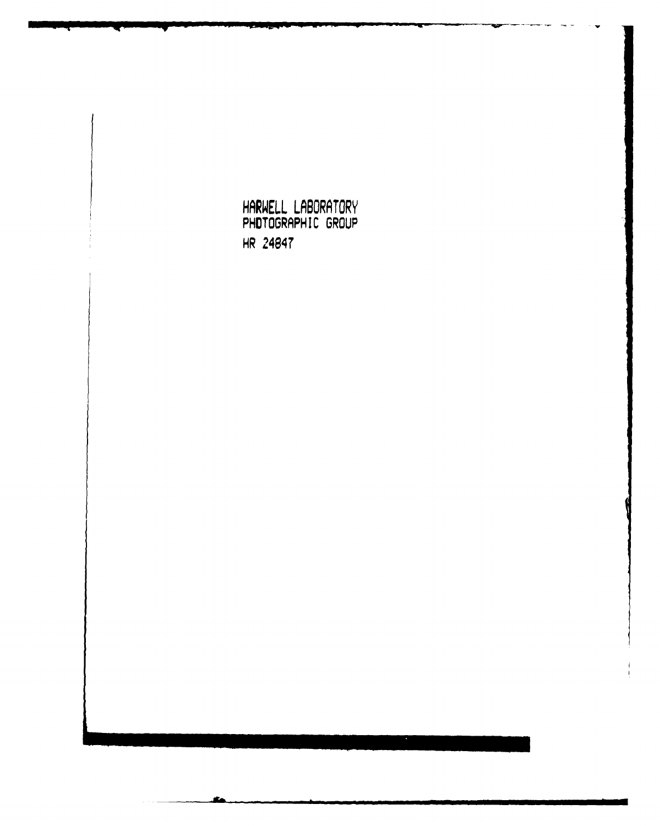HARWELL LABURATURY PHOTOGRAPH IC GROUP HR 21484T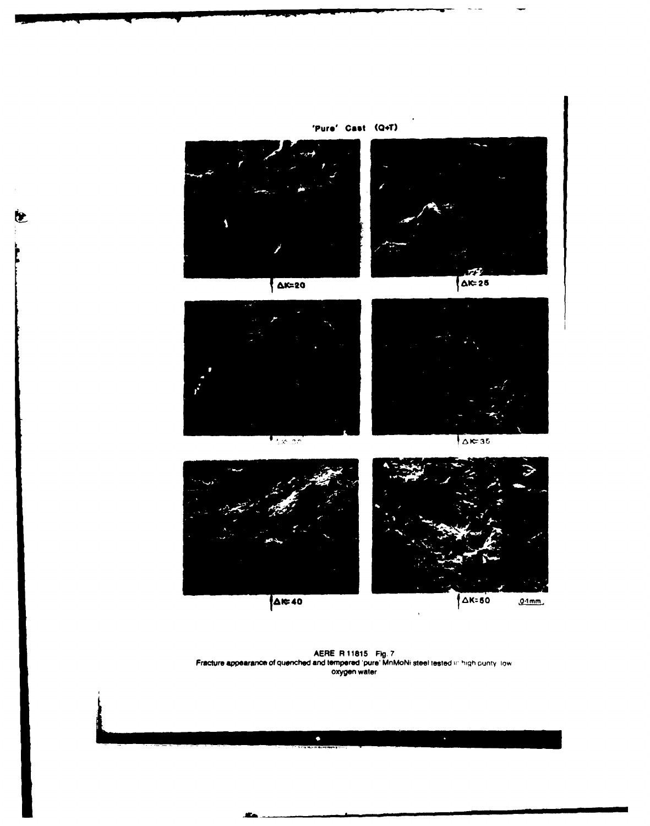

**AR-40** 

 $\bullet$ 

 $0.1$ mm

AERE **R11815 Ftg. 7** Fracture appearance of quenched and tempered 'pure' MnMoNi **steel** tested it, high ounty low oxygen water

 $\bullet$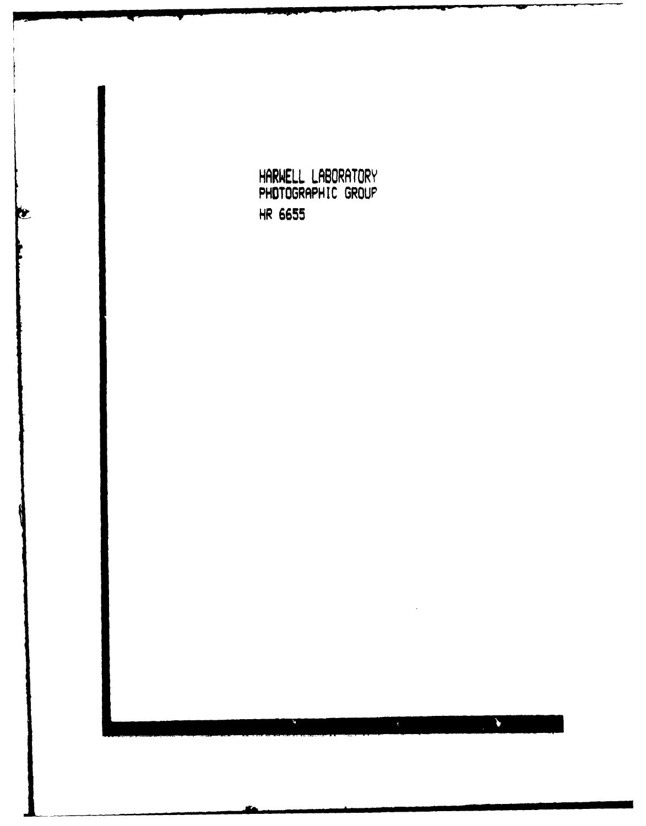**HARWELL LABORATORY** PHOTOGRAPHIC GROUP HR **6655**b  $\blacklozenge$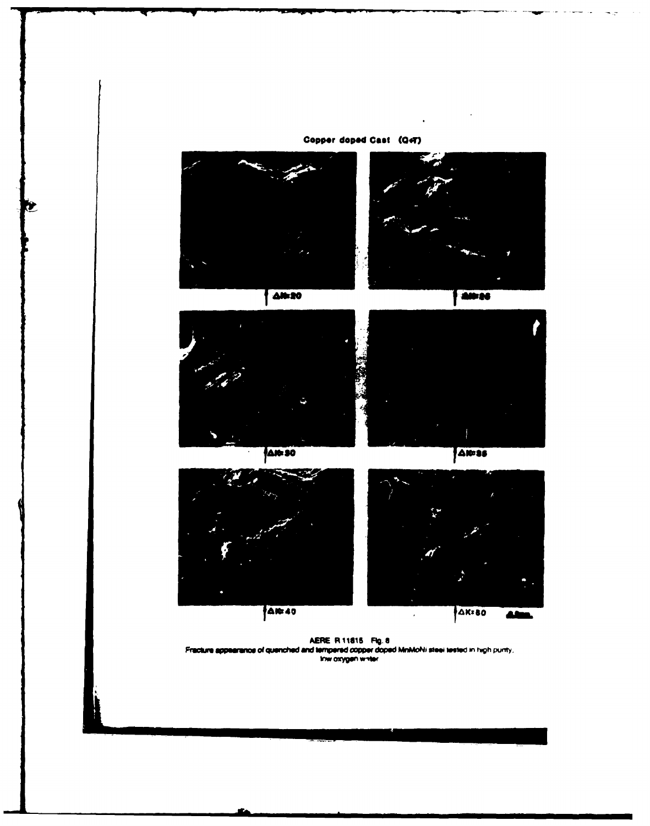





100-26



**AN-30** 

**AN=35** 





AERE R 11815 Fig. 8<br>Fracture appearance of quenched and tempered copper doped MnMoNi steel tested in high purity,<br>Inw oxygen white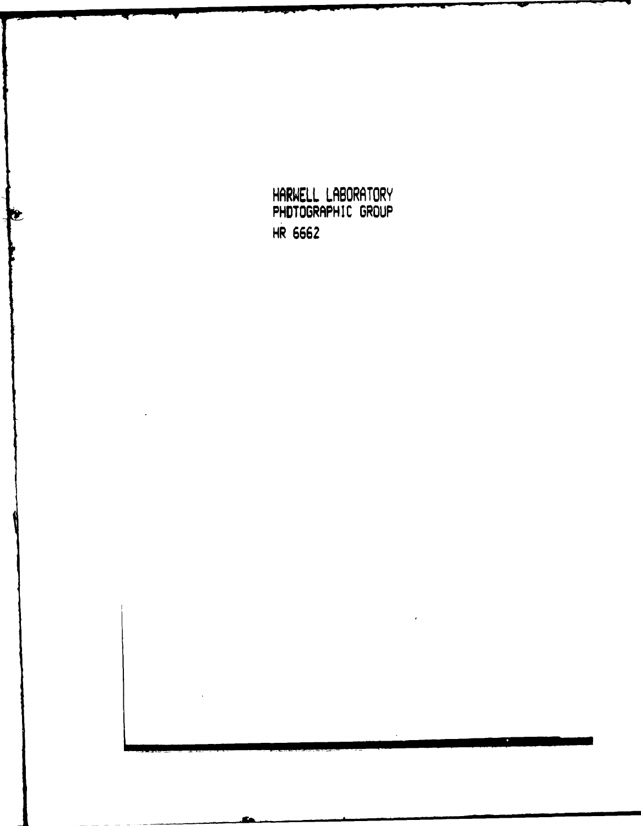**HARWELL LABORATORY** PHOTOGRAPH IC GROUP HR **6662**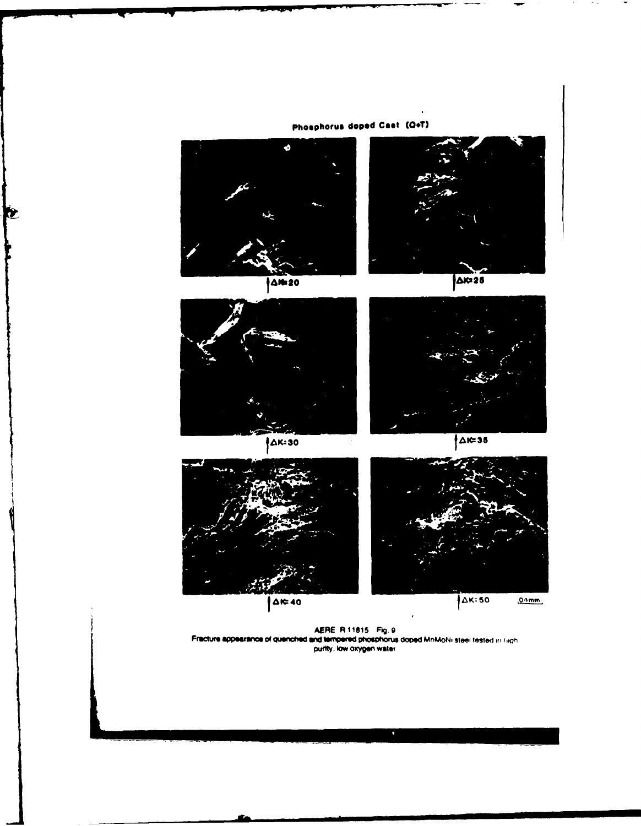

Œ



AERE R 11815 Fig. 9<br>Fracture appearance of quenched and tempered phosphorus doped MnMoNi steel tested in liight purtly, low oxygen water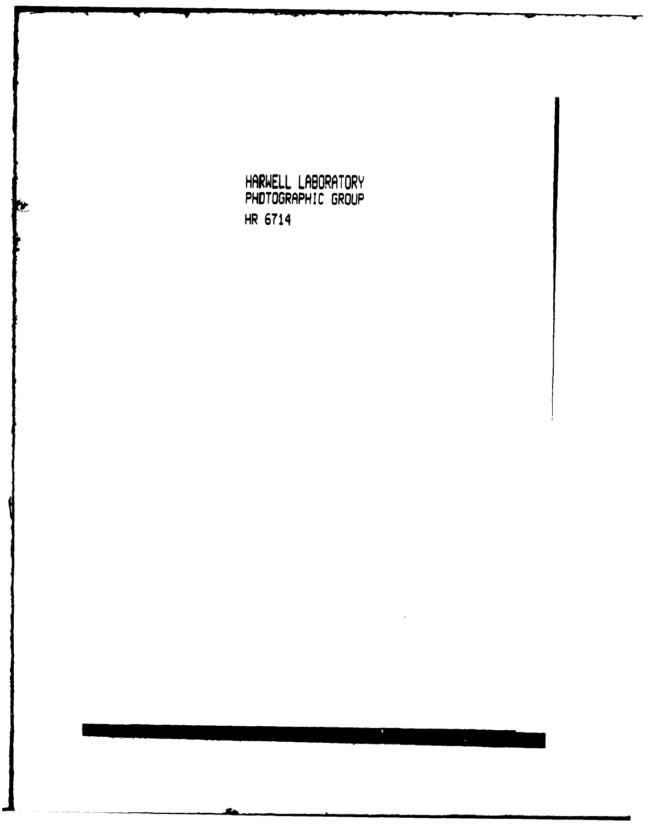**HARWELL LABORATORY** PHOTOGRAPHIC GROUP HR 6714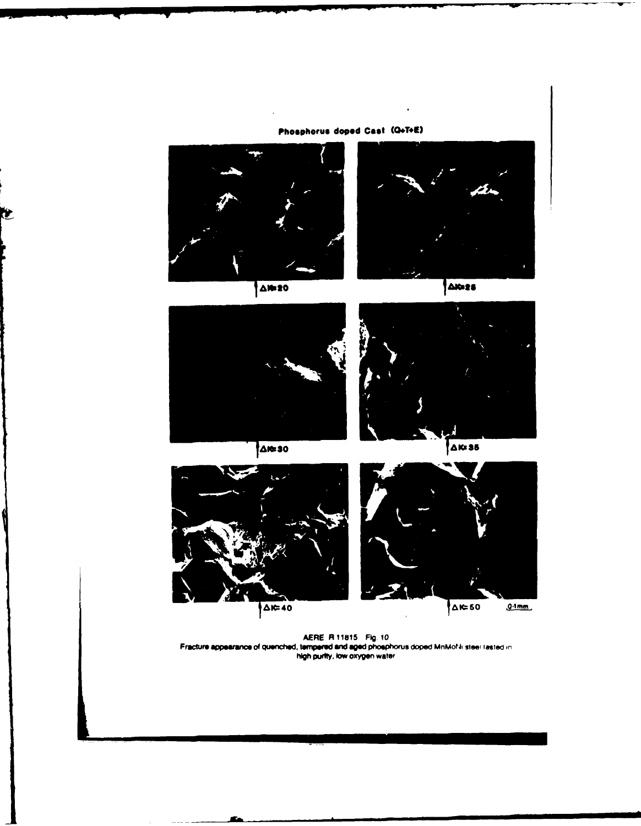

Ì.

AERE R 11815 **Fig. 10**<br>Fracture appearance of quenched, tempered and aged phoephorus doped MnMo?*I*i steel lasted in<br>high purity, low oxygen water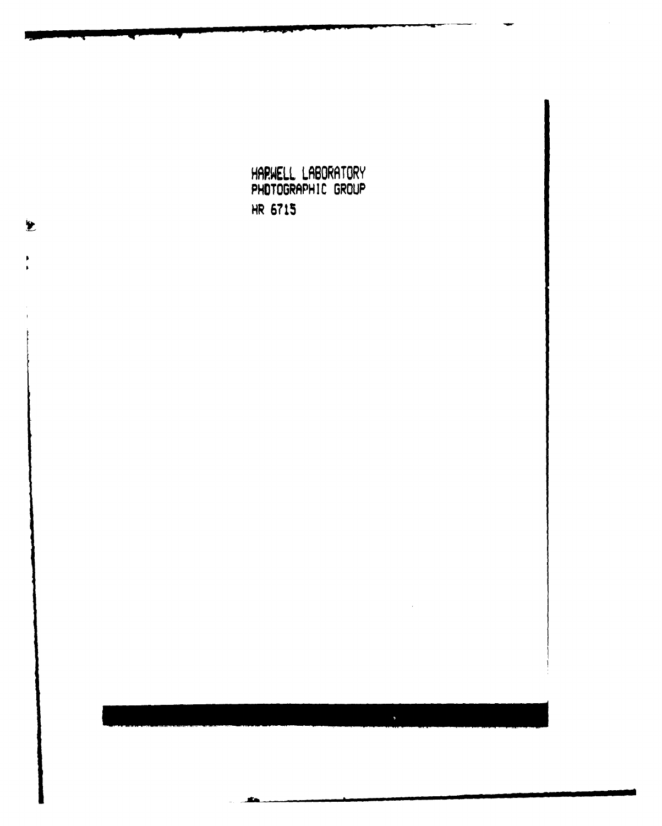HARWELL LABORATORY PHOTOGRAPHIC GROUP HR **6715**

 $\overline{\mathbf{z}}$ 

 $\blacktriangleright$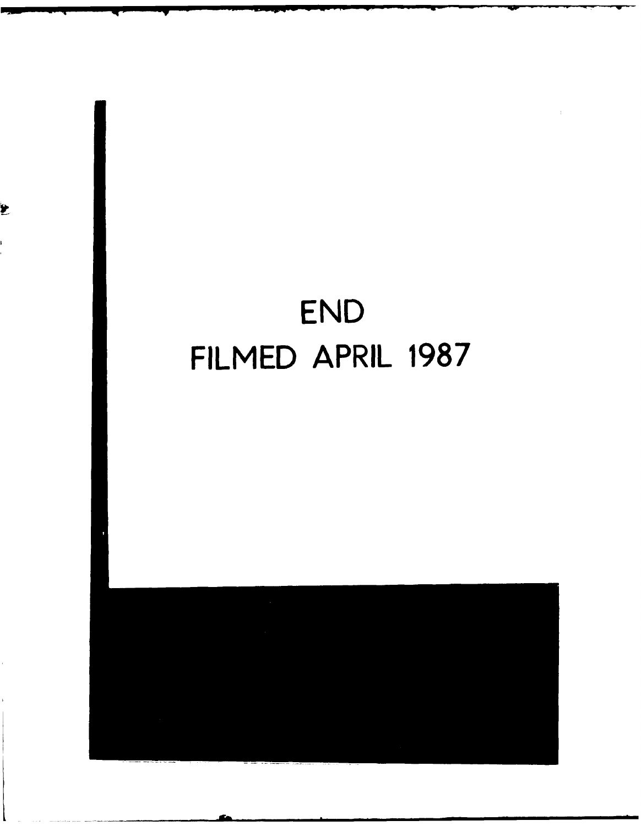